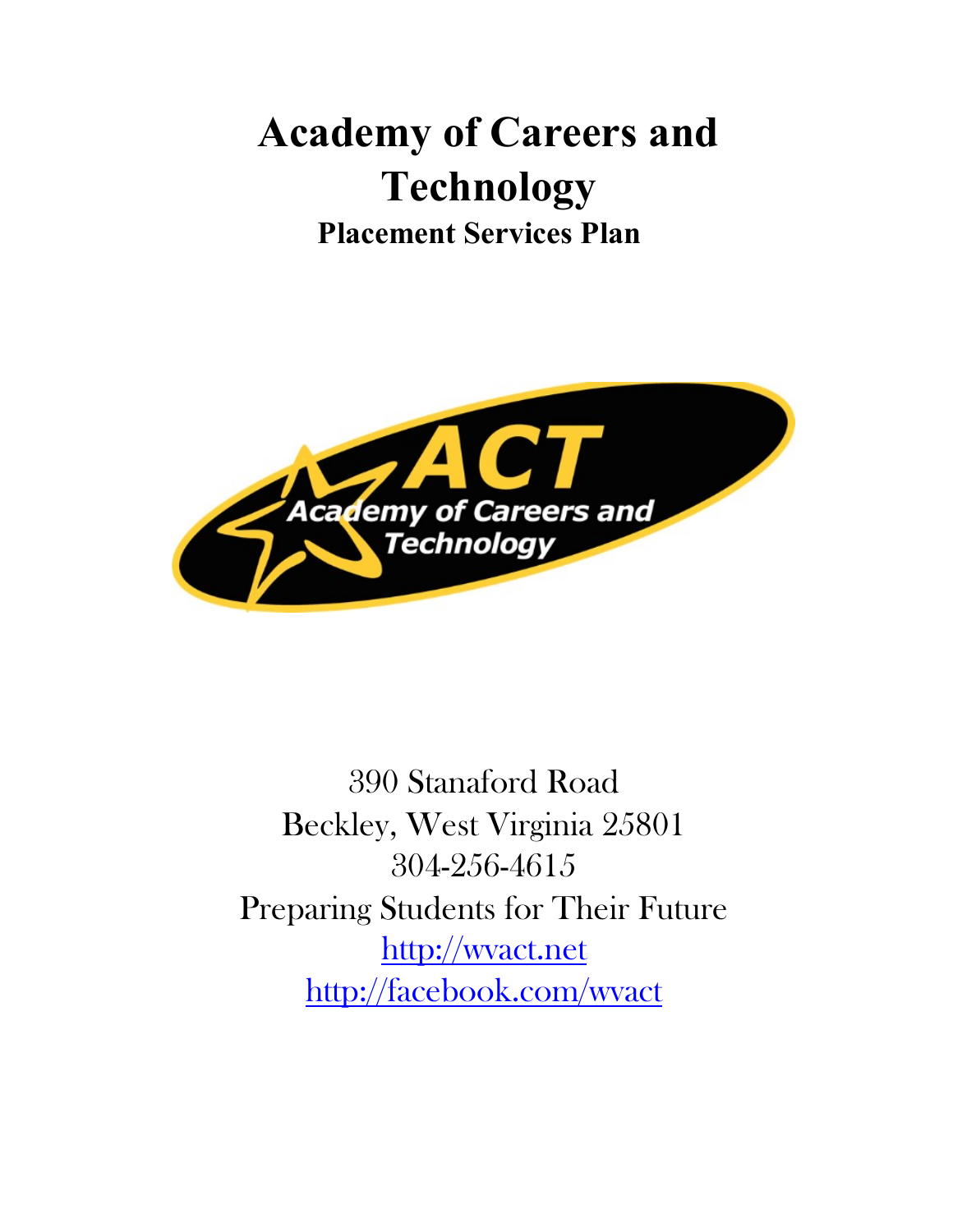# **Academy of Careers and Technology Placement Services Plan**



390 Stanaford Road Beckley, West Virginia 25801 304-256-4615 Preparing Students for Their Future [http://wvact.net](http://wvact.net/) <http://facebook.com/wvact>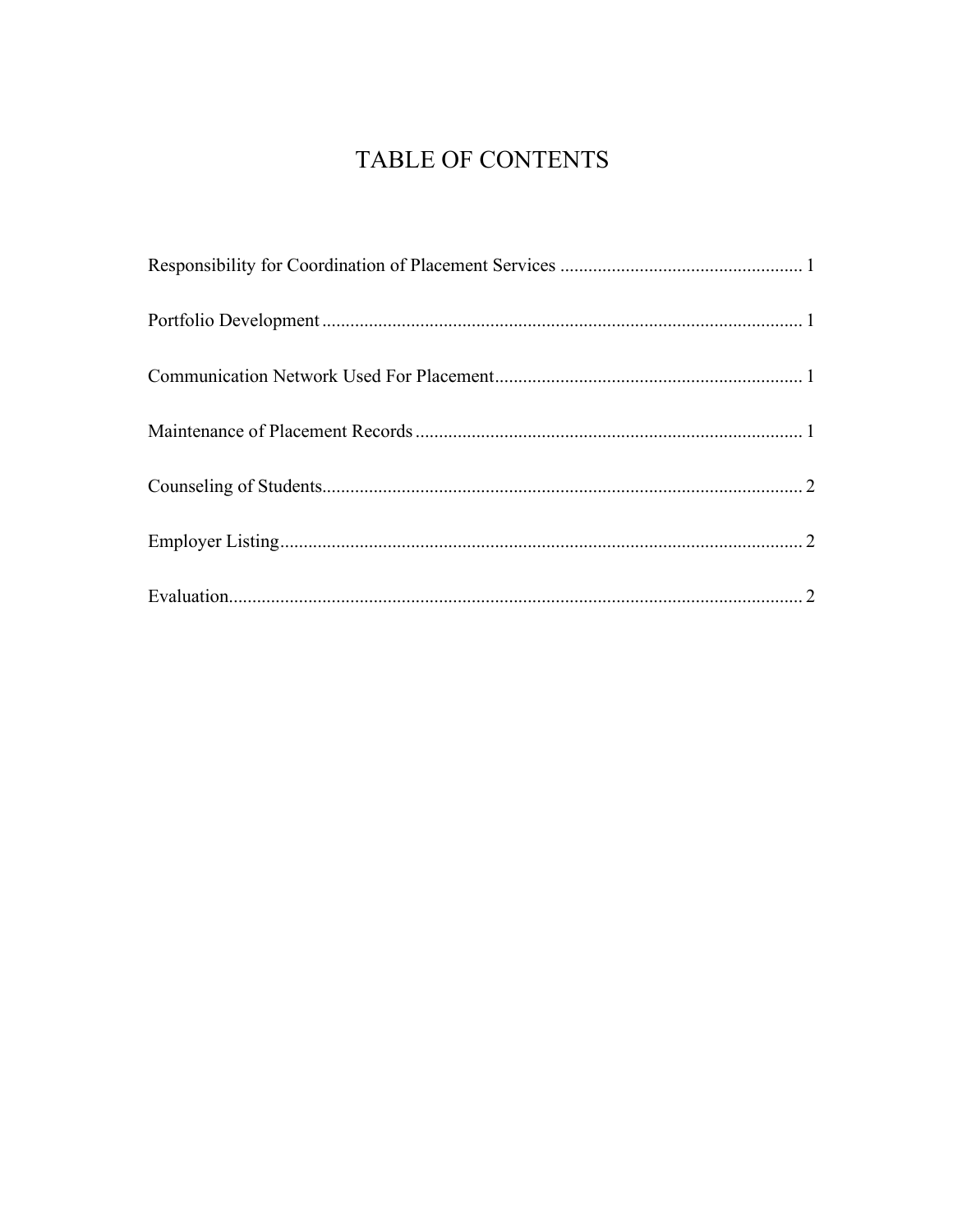## TABLE OF CONTENTS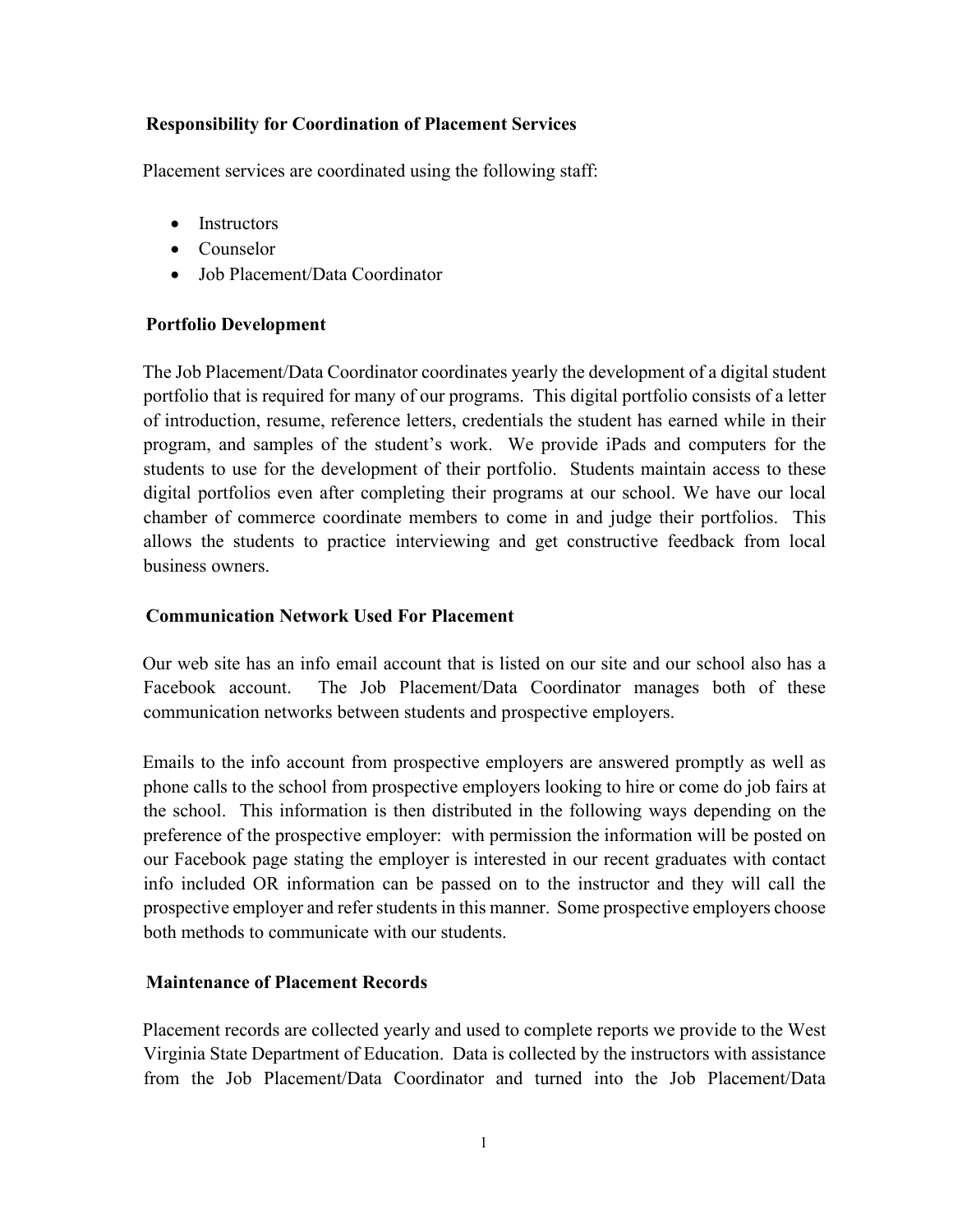### <span id="page-2-0"></span>**Responsibility for Coordination of Placement Services**

Placement services are coordinated using the following staff:

- Instructors
- Counselor
- Job Placement/Data Coordinator

### <span id="page-2-1"></span>**Portfolio Development**

The Job Placement/Data Coordinator coordinates yearly the development of a digital student portfolio that is required for many of our programs. This digital portfolio consists of a letter of introduction, resume, reference letters, credentials the student has earned while in their program, and samples of the student's work. We provide iPads and computers for the students to use for the development of their portfolio. Students maintain access to these digital portfolios even after completing their programs at our school. We have our local chamber of commerce coordinate members to come in and judge their portfolios. This allows the students to practice interviewing and get constructive feedback from local business owners.

### <span id="page-2-2"></span>**Communication Network Used For Placement**

Our web site has an info email account that is listed on our site and our school also has a Facebook account. The Job Placement/Data Coordinator manages both of these communication networks between students and prospective employers.

Emails to the info account from prospective employers are answered promptly as well as phone calls to the school from prospective employers looking to hire or come do job fairs at the school. This information is then distributed in the following ways depending on the preference of the prospective employer: with permission the information will be posted on our Facebook page stating the employer is interested in our recent graduates with contact info included OR information can be passed on to the instructor and they will call the prospective employer and refer students in this manner. Some prospective employers choose both methods to communicate with our students.

### <span id="page-2-3"></span>**Maintenance of Placement Records**

Placement records are collected yearly and used to complete reports we provide to the West Virginia State Department of Education. Data is collected by the instructors with assistance from the Job Placement/Data Coordinator and turned into the Job Placement/Data